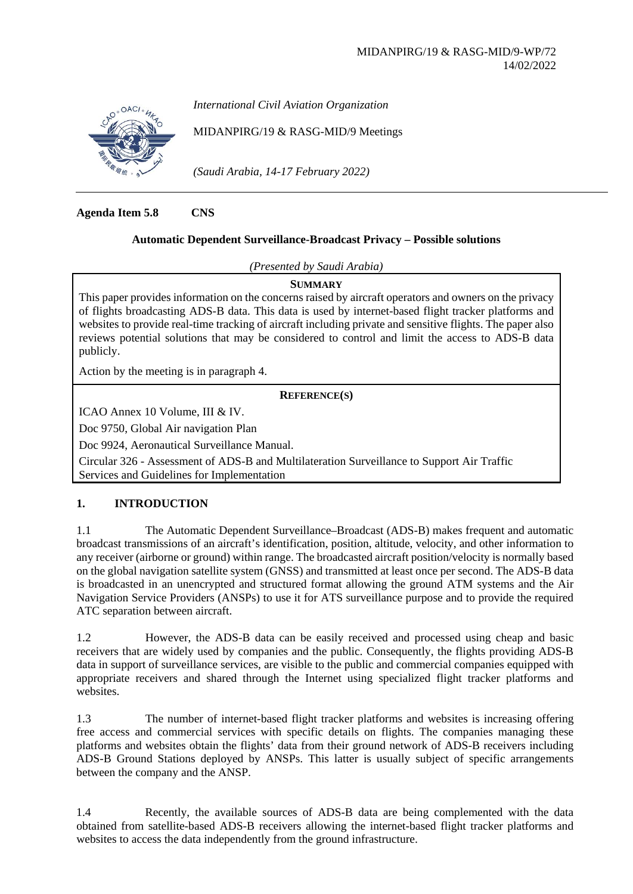

*International Civil Aviation Organization*

MIDANPIRG/19 & RASG-MID/9 Meetings

*(Saudi Arabia, 14-17 February 2022)*

**Agenda Item 5.8 CNS**

# **Automatic Dependent Surveillance-Broadcast Privacy – Possible solutions**

*(Presented by Saudi Arabia)*

**SUMMARY**

This paper provides information on the concerns raised by aircraft operators and owners on the privacy of flights broadcasting ADS-B data. This data is used by internet-based flight tracker platforms and websites to provide real-time tracking of aircraft including private and sensitive flights. The paper also reviews potential solutions that may be considered to control and limit the access to ADS-B data publicly.

Action by the meeting is in paragraph 4.

## **REFERENCE(S)**

ICAO Annex 10 Volume, III & IV.

Doc 9750, Global Air navigation Plan

Doc 9924, Aeronautical Surveillance Manual.

Circular 326 - Assessment of ADS-B and Multilateration Surveillance to Support Air Traffic Services and Guidelines for Implementation

# **1. INTRODUCTION**

1.1 The Automatic Dependent Surveillance–Broadcast (ADS-B) makes frequent and automatic broadcast transmissions of an aircraft's identification, position, altitude, velocity, and other information to any receiver (airborne or ground) within range. The broadcasted aircraft position/velocity is normally based on the global navigation satellite system (GNSS) and transmitted at least once per second. The ADS-B data is broadcasted in an unencrypted and structured format allowing the ground ATM systems and the Air Navigation Service Providers (ANSPs) to use it for ATS surveillance purpose and to provide the required ATC separation between aircraft.

1.2 However, the ADS-B data can be easily received and processed using cheap and basic receivers that are widely used by companies and the public. Consequently, the flights providing ADS-B data in support of surveillance services, are visible to the public and commercial companies equipped with appropriate receivers and shared through the Internet using specialized flight tracker platforms and websites.

1.3 The number of internet-based flight tracker platforms and websites is increasing offering free access and commercial services with specific details on flights. The companies managing these platforms and websites obtain the flights' data from their ground network of ADS-B receivers including ADS-B Ground Stations deployed by ANSPs. This latter is usually subject of specific arrangements between the company and the ANSP.

1.4 Recently, the available sources of ADS-B data are being complemented with the data obtained from satellite-based ADS-B receivers allowing the internet-based flight tracker platforms and websites to access the data independently from the ground infrastructure.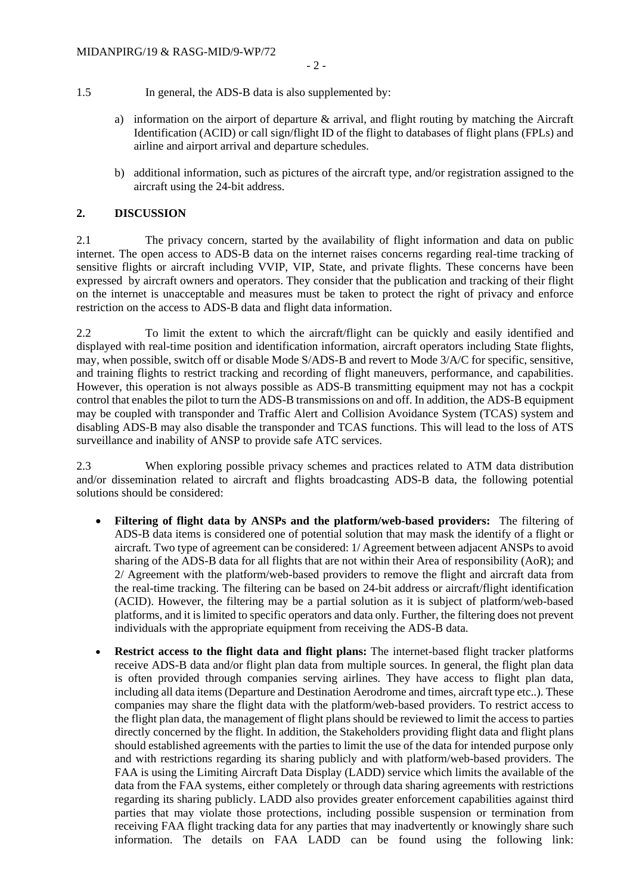- 1.5 In general, the ADS-B data is also supplemented by:
	- a) information on the airport of departure  $\&$  arrival, and flight routing by matching the Aircraft Identification (ACID) or call sign/flight ID of the flight to databases of flight plans (FPLs) and airline and airport arrival and departure schedules.
	- b) additional information, such as pictures of the aircraft type, and/or registration assigned to the aircraft using the 24-bit address.

## **2. DISCUSSION**

2.1 The privacy concern, started by the availability of flight information and data on public internet. The open access to ADS-B data on the internet raises concerns regarding real-time tracking of sensitive flights or aircraft including VVIP, VIP, State, and private flights. These concerns have been expressed by aircraft owners and operators. They consider that the publication and tracking of their flight on the internet is unacceptable and measures must be taken to protect the right of privacy and enforce restriction on the access to ADS-B data and flight data information.

2.2 To limit the extent to which the aircraft/flight can be quickly and easily identified and displayed with real-time position and identification information, aircraft operators including State flights, may, when possible, switch off or disable Mode S/ADS-B and revert to Mode 3/A/C for specific, sensitive, and training flights to restrict tracking and recording of flight maneuvers, performance, and capabilities. However, this operation is not always possible as ADS-B transmitting equipment may not has a cockpit control that enables the pilot to turn the ADS-B transmissions on and off. In addition, the ADS-B equipment may be coupled with transponder and Traffic Alert and Collision Avoidance System (TCAS) system and disabling ADS-B may also disable the transponder and TCAS functions. This will lead to the loss of ATS surveillance and inability of ANSP to provide safe ATC services.

2.3 When exploring possible privacy schemes and practices related to ATM data distribution and/or dissemination related to aircraft and flights broadcasting ADS-B data, the following potential solutions should be considered:

- **Filtering of flight data by ANSPs and the platform/web-based providers:** The filtering of ADS-B data items is considered one of potential solution that may mask the identify of a flight or aircraft. Two type of agreement can be considered: 1/ Agreement between adjacent ANSPs to avoid sharing of the ADS-B data for all flights that are not within their Area of responsibility (AoR); and 2/ Agreement with the platform/web-based providers to remove the flight and aircraft data from the real-time tracking. The filtering can be based on 24-bit address or aircraft/flight identification (ACID). However, the filtering may be a partial solution as it is subject of platform/web-based platforms, and it is limited to specific operators and data only. Further, the filtering does not prevent individuals with the appropriate equipment from receiving the ADS-B data.
- **Restrict access to the flight data and flight plans:** The internet-based flight tracker platforms receive ADS-B data and/or flight plan data from multiple sources. In general, the flight plan data is often provided through companies serving airlines. They have access to flight plan data, including all data items (Departure and Destination Aerodrome and times, aircraft type etc..). These companies may share the flight data with the platform/web-based providers. To restrict access to the flight plan data, the management of flight plans should be reviewed to limit the access to parties directly concerned by the flight. In addition, the Stakeholders providing flight data and flight plans should established agreements with the parties to limit the use of the data for intended purpose only and with restrictions regarding its sharing publicly and with platform/web-based providers. The FAA is using the Limiting Aircraft Data Display (LADD) service which limits the available of the data from the FAA systems, either completely or through data sharing agreements with restrictions regarding its sharing publicly. LADD also provides greater enforcement capabilities against third parties that may violate those protections, including possible suspension or termination from receiving FAA flight tracking data for any parties that may inadvertently or knowingly share such information. The details on FAA LADD can be found using the following link: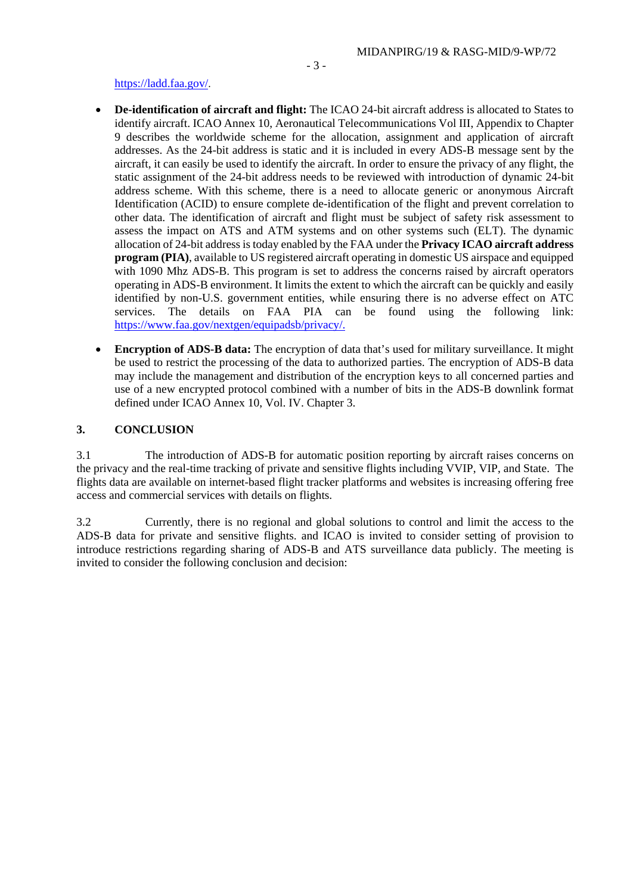#### [https://ladd.faa.gov/.](https://ladd.faa.gov/)

- **De-identification of aircraft and flight:** The ICAO 24-bit aircraft address is allocated to States to identify aircraft. ICAO Annex 10, Aeronautical Telecommunications Vol III, Appendix to Chapter 9 describes the worldwide scheme for the allocation, assignment and application of aircraft addresses. As the 24-bit address is static and it is included in every ADS-B message sent by the aircraft, it can easily be used to identify the aircraft. In order to ensure the privacy of any flight, the static assignment of the 24-bit address needs to be reviewed with introduction of dynamic 24-bit address scheme. With this scheme, there is a need to allocate generic or anonymous Aircraft Identification (ACID) to ensure complete de-identification of the flight and prevent correlation to other data. The identification of aircraft and flight must be subject of safety risk assessment to assess the impact on ATS and ATM systems and on other systems such (ELT). The dynamic allocation of 24-bit address is today enabled by the FAA under the **Privacy ICAO aircraft address program (PIA)**, available to US registered aircraft operating in domestic US airspace and equipped with 1090 Mhz ADS-B. This program is set to address the concerns raised by aircraft operators operating in ADS-B environment. It limits the extent to which the aircraft can be quickly and easily identified by non-U.S. government entities, while ensuring there is no adverse effect on ATC services. The details on FAA PIA can be found using the following link: [https://www.faa.gov/nextgen/equipadsb/privacy/.](https://www.faa.gov/nextgen/equipadsb/privacy/)
- **Encryption of ADS-B data:** The encryption of data that's used for military surveillance. It might be used to restrict the processing of the data to authorized parties. The encryption of ADS-B data may include the management and distribution of the encryption keys to all concerned parties and use of a new encrypted protocol combined with a number of bits in the ADS-B downlink format defined under ICAO Annex 10, Vol. IV. Chapter 3.

### **3. CONCLUSION**

3.1 The introduction of ADS-B for automatic position reporting by aircraft raises concerns on the privacy and the real-time tracking of private and sensitive flights including VVIP, VIP, and State. The flights data are available on internet-based flight tracker platforms and websites is increasing offering free access and commercial services with details on flights.

3.2 Currently, there is no regional and global solutions to control and limit the access to the ADS-B data for private and sensitive flights. and ICAO is invited to consider setting of provision to introduce restrictions regarding sharing of ADS-B and ATS surveillance data publicly. The meeting is invited to consider the following conclusion and decision: